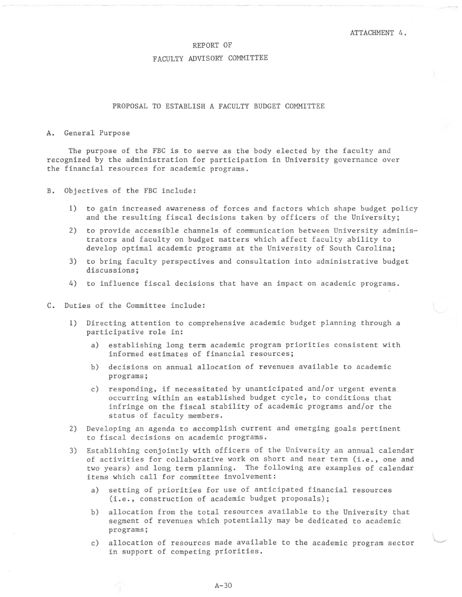# REPORT OF

#### FACULTY ADVISORY COMMITTEE

# PROPOSAL TO ESTABLISH A FACULTY BUDGET COMMITTEE

#### A. General Purpose

The purpose of the FBC is to serve as the body elected by the faculty and recognized by the administration for participation in University governance over the financial resources for academic programs.

- B. Objectives of the FBC include:
	- 1) to gain increased awareness of forces and factors which shape budget policy and the resulting fiscal decisions taken by officers of the University;
	- 2) to provide accessible channels of communication between University administrators and faculty on budget matters which affect faculty ability to develop optimal academic programs at the University of South Carolina;
	- 3) to bring faculty perspectives and consultation into administrative budget discussions;
	- 4) to influence fiscal decisions that have an impact on academic programs.
- C. Duties of the Committee include:
	- 1) Directing attention to comprehensive academic budget planning through a participative role in:
		- a) establishing long term academic program priorities consistent with informed estimates of financial resources;
		- b) decisions on annual allocation of revenues available to academic programs;
		- c) responding, if necessitated by unanticipated and/or urgent events occurring within an established budget cycle, to conditions that infringe on the fiscal stability of academic programs and/or the status of faculty members.
	- 2) Developing an agenda to accomplish current and emerging goals pertinent to fiscal decisions on academic programs.
	- 3) Establishing conjointly with officers of the University an annual calendar of activities for collaborative work on short and near term (i.e., one and two years) and long term planning. The following are examples of calendar items which call for committee involvement:
		- a) setting of priorities for use of anticipated financial resources (i.e., construction of academic budget proposals);
		- b) allocation from the total resources available to the University that segment of revenues which potentially may be dedicated to academic programs;
		- c) allocation of resources made available to the academic program sector in support of competing priorities.